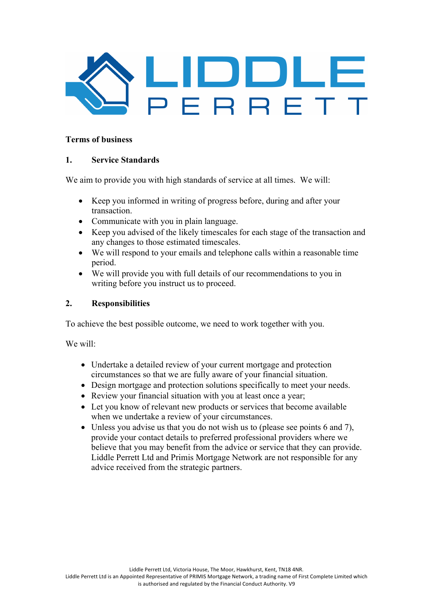

### **Terms of business**

### **1. Service Standards**

We aim to provide you with high standards of service at all times. We will:

- Keep you informed in writing of progress before, during and after your transaction.
- Communicate with you in plain language.
- Keep you advised of the likely timescales for each stage of the transaction and any changes to those estimated timescales.
- We will respond to your emails and telephone calls within a reasonable time period.
- We will provide you with full details of our recommendations to you in writing before you instruct us to proceed.

### **2. Responsibilities**

To achieve the best possible outcome, we need to work together with you.

We will:

- Undertake a detailed review of your current mortgage and protection circumstances so that we are fully aware of your financial situation.
- Design mortgage and protection solutions specifically to meet your needs.
- Review your financial situation with you at least once a year;
- Let you know of relevant new products or services that become available when we undertake a review of your circumstances.
- Unless you advise us that you do not wish us to (please see points 6 and 7), provide your contact details to preferred professional providers where we believe that you may benefit from the advice or service that they can provide. Liddle Perrett Ltd and Primis Mortgage Network are not responsible for any advice received from the strategic partners.

is authorised and regulated by the Financial Conduct Authority. V9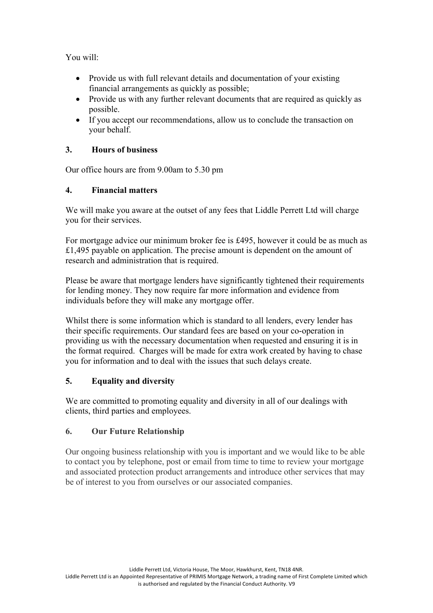You will:

- Provide us with full relevant details and documentation of your existing financial arrangements as quickly as possible;
- Provide us with any further relevant documents that are required as quickly as possible.
- If you accept our recommendations, allow us to conclude the transaction on your behalf.

## **3. Hours of business**

Our office hours are from 9.00am to 5.30 pm

### **4. Financial matters**

We will make you aware at the outset of any fees that Liddle Perrett Ltd will charge you for their services.

For mortgage advice our minimum broker fee is £495, however it could be as much as £1,495 payable on application. The precise amount is dependent on the amount of research and administration that is required.

Please be aware that mortgage lenders have significantly tightened their requirements for lending money. They now require far more information and evidence from individuals before they will make any mortgage offer.

Whilst there is some information which is standard to all lenders, every lender has their specific requirements. Our standard fees are based on your co-operation in providing us with the necessary documentation when requested and ensuring it is in the format required. Charges will be made for extra work created by having to chase you for information and to deal with the issues that such delays create.

# **5. Equality and diversity**

We are committed to promoting equality and diversity in all of our dealings with clients, third parties and employees.

# **6. Our Future Relationship**

Our ongoing business relationship with you is important and we would like to be able to contact you by telephone, post or email from time to time to review your mortgage and associated protection product arrangements and introduce other services that may be of interest to you from ourselves or our associated companies.